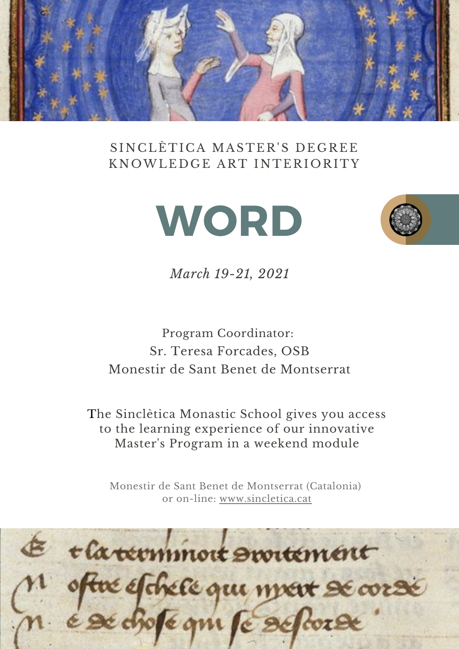

### SINCLÈTICA MASTER'S DEGREE KNOWLEDGE ART INTERIORITY





*March 19-21, 2021*

## Program Coordinator: Sr. Teresa Forcades, OSB Monestir de Sant Benet de Montserrat

The Sinclètica Monastic School gives you access to the learning experience of our innovative Master's Program in a weekend module

Monestir de Sant Benet de Montserrat (Catalonia) or on-lin[e:](https://www.sincletica.cat/) [www.sincletica.cat](https://www.sincletica.cat/)

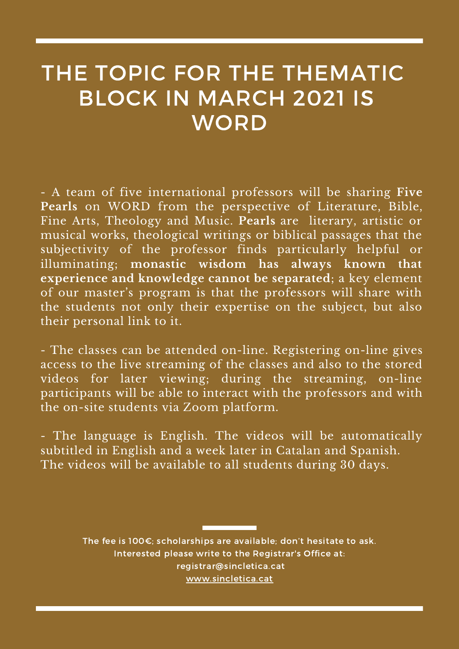## THE TOPIC FOR THE THEMATIC BLOCK IN MARCH 2021 IS **WORD**

- A team of five international professors will be sharing **Five Pearls** on WORD from the perspective of Literature, Bible, Fine Arts, Theology and Music. **Pearls** are literary, artistic or musical works, theological writings or biblical passages that the subjectivity of the professor finds particularly helpful or illuminating; **monastic wisdom has always known that experience and knowledge cannot be separated**; a key element of our master's program is that the professors will share with the students not only their expertise on the subject, but also their personal link to it.

- The classes can be attended on-line. Registering on-line gives access to the live streaming of the classes and also to the stored videos for later viewing; during the streaming, on-line participants will be able to interact with the professors and with the on-site students via Zoom platform.

- The language is English. The videos will be automatically subtitled in English and a week later in Catalan and Spanish. The videos will be available to all students during 30 days.

> The fee is 100€; scholarships are available; don't hesitate to ask. Interested please write to the Registrar's Office at: [registrar@sincletica.cat](http://sincletica.cat/) [www.sincletica.cat](https://www.sincletica.cat/)